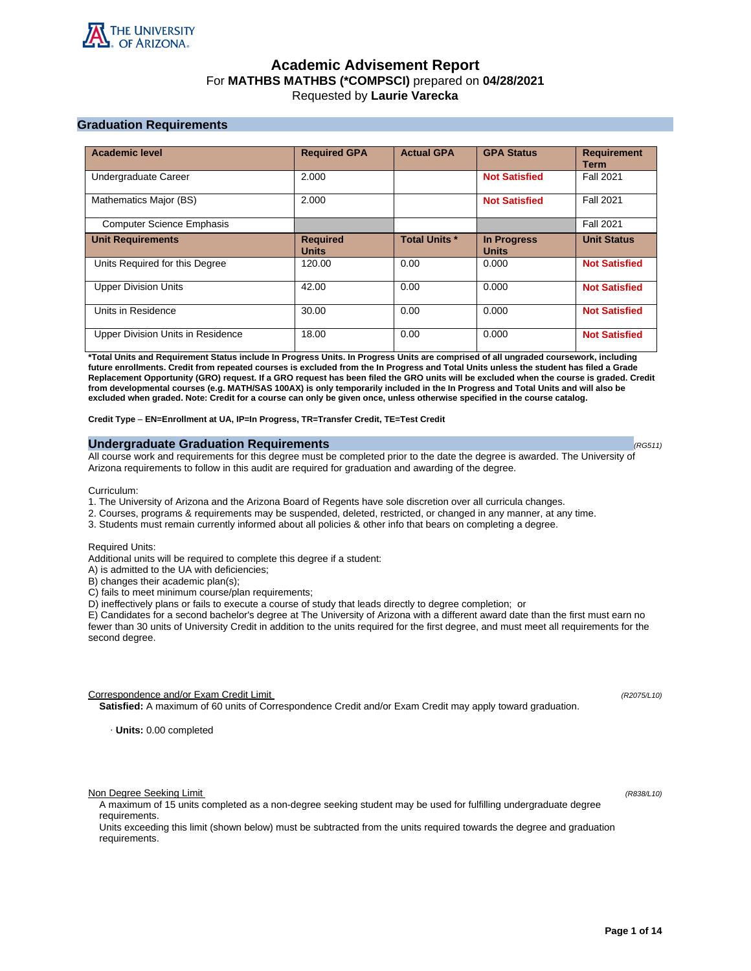

# **Academic Advisement Report** For **MATHBS MATHBS (\*COMPSCI)** prepared on **04/28/2021** Requested by **Laurie Varecka**

# **Graduation Requirements**

| <b>Academic level</b>             | <b>Required GPA</b>             | <b>Actual GPA</b>    | <b>GPA Status</b>                  | <b>Requirement</b><br><b>Term</b> |
|-----------------------------------|---------------------------------|----------------------|------------------------------------|-----------------------------------|
| Undergraduate Career              | 2.000                           |                      | <b>Not Satisfied</b>               | <b>Fall 2021</b>                  |
| Mathematics Major (BS)            | 2.000                           |                      | <b>Not Satisfied</b>               | <b>Fall 2021</b>                  |
| <b>Computer Science Emphasis</b>  |                                 |                      |                                    | <b>Fall 2021</b>                  |
| <b>Unit Requirements</b>          | <b>Required</b><br><b>Units</b> | <b>Total Units *</b> | <b>In Progress</b><br><b>Units</b> | <b>Unit Status</b>                |
| Units Required for this Degree    | 120.00                          | 0.00                 | 0.000                              | <b>Not Satisfied</b>              |
| <b>Upper Division Units</b>       | 42.00                           | 0.00                 | 0.000                              | <b>Not Satisfied</b>              |
| Units in Residence                | 30.00                           | 0.00                 | 0.000                              | <b>Not Satisfied</b>              |
| Upper Division Units in Residence | 18.00                           | 0.00                 | 0.000                              | <b>Not Satisfied</b>              |

**\*Total Units and Requirement Status include In Progress Units. In Progress Units are comprised of all ungraded coursework, including future enrollments. Credit from repeated courses is excluded from the In Progress and Total Units unless the student has filed a Grade Replacement Opportunity (GRO) request. If a GRO request has been filed the GRO units will be excluded when the course is graded. Credit from developmental courses (e.g. MATH/SAS 100AX) is only temporarily included in the In Progress and Total Units and will also be excluded when graded. Note: Credit for a course can only be given once, unless otherwise specified in the course catalog.**

**Credit Type** – **EN=Enrollment at UA, IP=In Progress, TR=Transfer Credit, TE=Test Credit**

# **Undergraduate Graduation Requirements (RG511) (RG511) (RG511) (RG511)**

All course work and requirements for this degree must be completed prior to the date the degree is awarded. The University of Arizona requirements to follow in this audit are required for graduation and awarding of the degree.

Curriculum:

- 1. The University of Arizona and the Arizona Board of Regents have sole discretion over all curricula changes.
- 2. Courses, programs & requirements may be suspended, deleted, restricted, or changed in any manner, at any time.
- 3. Students must remain currently informed about all policies & other info that bears on completing a degree.

Required Units:

Additional units will be required to complete this degree if a student:

A) is admitted to the UA with deficiencies;

B) changes their academic plan(s);

C) fails to meet minimum course/plan requirements;

D) ineffectively plans or fails to execute a course of study that leads directly to degree completion; or

E) Candidates for a second bachelor's degree at The University of Arizona with a different award date than the first must earn no fewer than 30 units of University Credit in addition to the units required for the first degree, and must meet all requirements for the second degree.

Correspondence and/or Exam Credit Limit (R2075/L10) (R2075/L10)

**Satisfied:** A maximum of 60 units of Correspondence Credit and/or Exam Credit may apply toward graduation.

· **Units:** 0.00 completed

Non Degree Seeking Limit (R838/L10)

A maximum of 15 units completed as a non-degree seeking student may be used for fulfilling undergraduate degree requirements.

Units exceeding this limit (shown below) must be subtracted from the units required towards the degree and graduation requirements.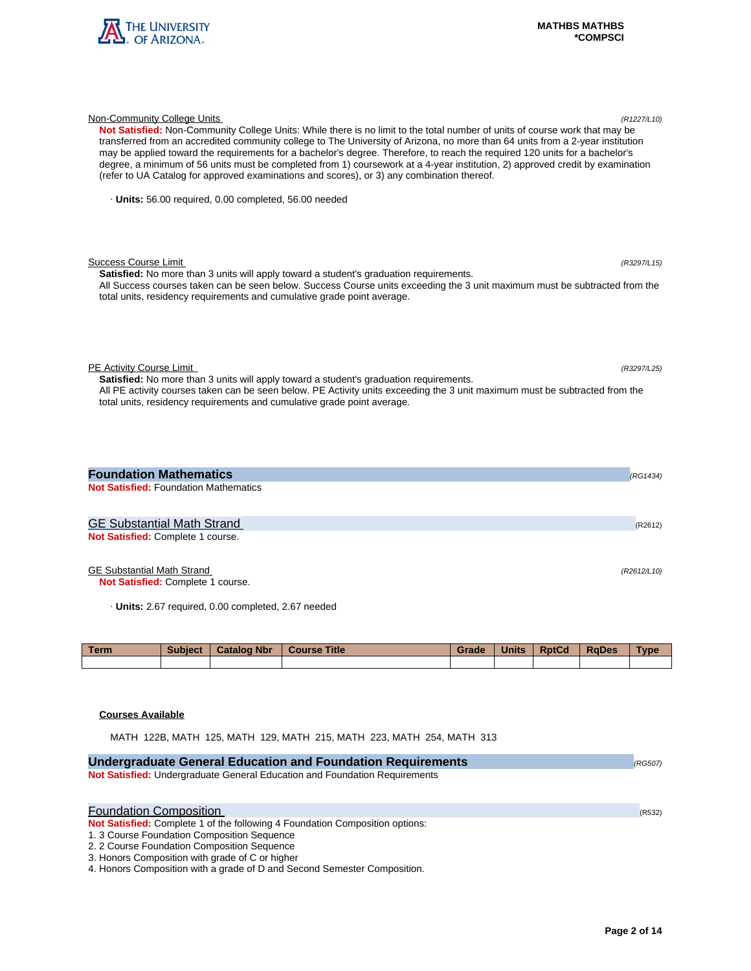

| Not Satisfied: Non-Community College Units: While there is no limit to the total number of units of course work that may be<br>transferred from an accredited community college to The University of Arizona, no more than 64 units from a 2-year institution<br>may be applied toward the requirements for a bachelor's degree. Therefore, to reach the required 120 units for a bachelor's<br>degree, a minimum of 56 units must be completed from 1) coursework at a 4-year institution, 2) approved credit by examination<br>(refer to UA Catalog for approved examinations and scores), or 3) any combination thereof. |  |
|-----------------------------------------------------------------------------------------------------------------------------------------------------------------------------------------------------------------------------------------------------------------------------------------------------------------------------------------------------------------------------------------------------------------------------------------------------------------------------------------------------------------------------------------------------------------------------------------------------------------------------|--|
| · Units: 56.00 required, 0.00 completed, 56.00 needed                                                                                                                                                                                                                                                                                                                                                                                                                                                                                                                                                                       |  |
| <b>Success Course Limit</b><br>(R3297/L15)<br><b>Satisfied:</b> No more than 3 units will apply toward a student's graduation requirements.<br>All Success courses taken can be seen below. Success Course units exceeding the 3 unit maximum must be subtracted from the<br>total units, residency requirements and cumulative grade point average.                                                                                                                                                                                                                                                                        |  |
| PE Activity Course Limit<br>(R3297/L25)<br><b>Satisfied:</b> No more than 3 units will apply toward a student's graduation requirements.<br>All PE activity courses taken can be seen below. PE Activity units exceeding the 3 unit maximum must be subtracted from the<br>total units, residency requirements and cumulative grade point average.                                                                                                                                                                                                                                                                          |  |
| <b>Foundation Mathematics</b><br>(RG1434)                                                                                                                                                                                                                                                                                                                                                                                                                                                                                                                                                                                   |  |
| <b>Not Satisfied: Foundation Mathematics</b>                                                                                                                                                                                                                                                                                                                                                                                                                                                                                                                                                                                |  |
| <b>GE Substantial Math Strand</b><br>(R2612)                                                                                                                                                                                                                                                                                                                                                                                                                                                                                                                                                                                |  |
| Not Satisfied: Complete 1 course.                                                                                                                                                                                                                                                                                                                                                                                                                                                                                                                                                                                           |  |

Non-Community College Units (R1227/L10)

# GE Substantial Math Strand (R2612/L10)

**Not Satisfied:** Complete 1 course.

· **Units:** 2.67 required, 0.00 completed, 2.67 needed

| <b>Term</b> | Subject | <b>Catalog Nbr</b> | <b>Course Title</b> | Grade | <b>Units</b> | <b>RptCd</b> | <b>RaDes</b> | Type |
|-------------|---------|--------------------|---------------------|-------|--------------|--------------|--------------|------|
|             |         |                    |                     |       |              |              |              |      |

# **Courses Available**

MATH 122B, MATH 125, MATH 129, MATH 215, MATH 223, MATH 254, MATH 313

| <b>Undergraduate General Education and Foundation Requirements</b>                                                                 | (RG507) |
|------------------------------------------------------------------------------------------------------------------------------------|---------|
| Not Satisfied: Undergraduate General Education and Foundation Requirements                                                         |         |
| <b>Foundation Composition</b>                                                                                                      | (R532)  |
| <b>Not Satisfied:</b> Complete 1 of the following 4 Foundation Composition options:<br>1. 3 Course Foundation Composition Sequence |         |
| 2. 2 Course Foundation Composition Sequence                                                                                        |         |
| 3. Honors Composition with grade of C or higher                                                                                    |         |
| 4. Honors Composition with a grade of D and Second Semester Composition.                                                           |         |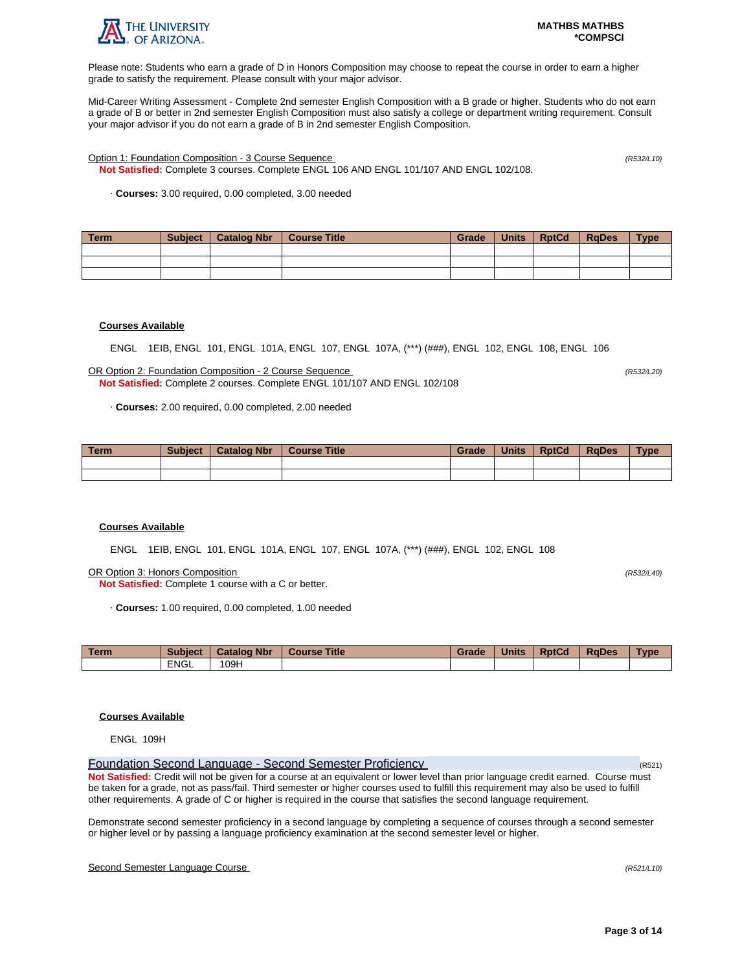

Please note: Students who earn a grade of D in Honors Composition may choose to repeat the course in order to earn a higher grade to satisfy the requirement. Please consult with your major advisor.

Mid-Career Writing Assessment - Complete 2nd semester English Composition with a B grade or higher. Students who do not earn a grade of B or better in 2nd semester English Composition must also satisfy a college or department writing requirement. Consult your major advisor if you do not earn a grade of B in 2nd semester English Composition.

Option 1: Foundation Composition - 3 Course Sequence (R532/L10)

**Not Satisfied:** Complete 3 courses. Complete ENGL 106 AND ENGL 101/107 AND ENGL 102/108.

· **Courses:** 3.00 required, 0.00 completed, 3.00 needed

| Term | Subject   Catalog Nbr | │ Course Title | Grade | Units RptCd | RaDes | <b>Type</b> |
|------|-----------------------|----------------|-------|-------------|-------|-------------|
|      |                       |                |       |             |       |             |
|      |                       |                |       |             |       |             |
|      |                       |                |       |             |       |             |

# **Courses Available**

ENGL 1EIB, ENGL 101, ENGL 101A, ENGL 107, ENGL 107A, (\*\*\*) (###), ENGL 102, ENGL 108, ENGL 106

OR Option 2: Foundation Composition - 2 Course Sequence (R532/L20) **Not Satisfied:** Complete 2 courses. Complete ENGL 101/107 AND ENGL 102/108

· **Courses:** 2.00 required, 0.00 completed, 2.00 needed

| <b>Term</b> | <b>Subject</b> | <b>Catalog Nbr</b> | <b>Course Title</b> | Grade | <b>Units</b> | <b>RptCd</b> | <b>RaDes</b> | <b>Type</b> |
|-------------|----------------|--------------------|---------------------|-------|--------------|--------------|--------------|-------------|
|             |                |                    |                     |       |              |              |              |             |
|             |                |                    |                     |       |              |              |              |             |

## **Courses Available**

ENGL 1EIB, ENGL 101, ENGL 101A, ENGL 107, ENGL 107A, (\*\*\*) (###), ENGL 102, ENGL 108

OR Option 3: Honors Composition (R532/L40)

**Not Satisfied:** Complete 1 course with a C or better.

· **Courses:** 1.00 required, 0.00 completed, 1.00 needed

| <b>Term</b> | <b>Subject</b> | <b>Catalog Nbr</b> | <b>Course Title</b> | Grade | <b>Units</b> | <b>RptCd</b> | <b>RaDes</b> | <b>Type</b> |
|-------------|----------------|--------------------|---------------------|-------|--------------|--------------|--------------|-------------|
|             | <b>ENGL</b>    | 09H                |                     |       |              |              |              |             |

# **Courses Available**

ENGL 109H

Foundation Second Language - Second Semester Proficiency (R521) **Not Satisfied:** Credit will not be given for a course at an equivalent or lower level than prior language credit earned. Course must be taken for a grade, not as pass/fail. Third semester or higher courses used to fulfill this requirement may also be used to fulfill other requirements. A grade of C or higher is required in the course that satisfies the second language requirement.

Demonstrate second semester proficiency in a second language by completing a sequence of courses through a second semester or higher level or by passing a language proficiency examination at the second semester level or higher.

# Second Semester Language Course (R521/L10)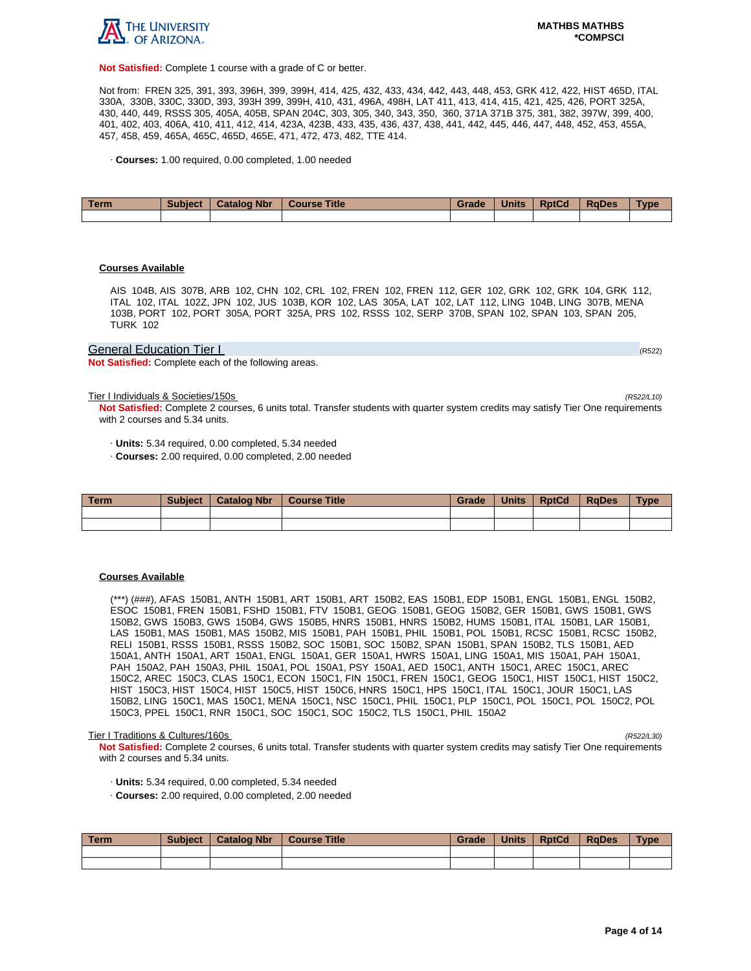

**Not Satisfied:** Complete 1 course with a grade of C or better.

Not from: FREN 325, 391, 393, 396H, 399, 399H, 414, 425, 432, 433, 434, 442, 443, 448, 453, GRK 412, 422, HIST 465D, ITAL 330A, 330B, 330C, 330D, 393, 393H 399, 399H, 410, 431, 496A, 498H, LAT 411, 413, 414, 415, 421, 425, 426, PORT 325A, 430, 440, 449, RSSS 305, 405A, 405B, SPAN 204C, 303, 305, 340, 343, 350, 360, 371A 371B 375, 381, 382, 397W, 399, 400, 401, 402, 403, 406A, 410, 411, 412, 414, 423A, 423B, 433, 435, 436, 437, 438, 441, 442, 445, 446, 447, 448, 452, 453, 455A, 457, 458, 459, 465A, 465C, 465D, 465E, 471, 472, 473, 482, TTE 414.

· **Courses:** 1.00 required, 0.00 completed, 1.00 needed

| Term | <b>Subject</b> | Catalog Nbr | <b>Course Title</b> | Grade | <b>Units</b> | <b>RptCd</b> | <b>RaDes</b> | Type |
|------|----------------|-------------|---------------------|-------|--------------|--------------|--------------|------|
|      |                |             |                     |       |              |              |              |      |

#### **Courses Available**

AIS 104B, AIS 307B, ARB 102, CHN 102, CRL 102, FREN 102, FREN 112, GER 102, GRK 102, GRK 104, GRK 112, ITAL 102, ITAL 102Z, JPN 102, JUS 103B, KOR 102, LAS 305A, LAT 102, LAT 112, LING 104B, LING 307B, MENA 103B, PORT 102, PORT 305A, PORT 325A, PRS 102, RSSS 102, SERP 370B, SPAN 102, SPAN 103, SPAN 205, TURK 102

## General Education Tier I (RS22) And The Contract of the Contract of the Contract of the Contract of the Contract of the Contract of the Contract of the Contract of the Contract of the Contract of the Contract of the Contra

**Not Satisfied:** Complete each of the following areas.

Tier I Individuals & Societies/150s (R522/L10)

**Not Satisfied:** Complete 2 courses, 6 units total. Transfer students with quarter system credits may satisfy Tier One requirements with 2 courses and 5.34 units.

· **Units:** 5.34 required, 0.00 completed, 5.34 needed

· **Courses:** 2.00 required, 0.00 completed, 2.00 needed

| Term | <b>Subject</b> | <b>Catalog Nbr</b> | <b>Course Title</b> | Grade | <b>Units</b> | <b>RptCd</b> | <b>RaDes</b> | Type |
|------|----------------|--------------------|---------------------|-------|--------------|--------------|--------------|------|
|      |                |                    |                     |       |              |              |              |      |
|      |                |                    |                     |       |              |              |              |      |

#### **Courses Available**

(\*\*\*) (###), AFAS 150B1, ANTH 150B1, ART 150B1, ART 150B2, EAS 150B1, EDP 150B1, ENGL 150B1, ENGL 150B2, ESOC 150B1, FREN 150B1, FSHD 150B1, FTV 150B1, GEOG 150B1, GEOG 150B2, GER 150B1, GWS 150B1, GWS 150B2, GWS 150B3, GWS 150B4, GWS 150B5, HNRS 150B1, HNRS 150B2, HUMS 150B1, ITAL 150B1, LAR 150B1, LAS 150B1, MAS 150B1, MAS 150B2, MIS 150B1, PAH 150B1, PHIL 150B1, POL 150B1, RCSC 150B1, RCSC 150B2, RELI 150B1, RSSS 150B1, RSSS 150B2, SOC 150B1, SOC 150B2, SPAN 150B1, SPAN 150B2, TLS 150B1, AED 150A1, ANTH 150A1, ART 150A1, ENGL 150A1, GER 150A1, HWRS 150A1, LING 150A1, MIS 150A1, PAH 150A1, PAH 150A2, PAH 150A3, PHIL 150A1, POL 150A1, PSY 150A1, AED 150C1, ANTH 150C1, AREC 150C1, AREC 150C2, AREC 150C3, CLAS 150C1, ECON 150C1, FIN 150C1, FREN 150C1, GEOG 150C1, HIST 150C1, HIST 150C2, HIST 150C3, HIST 150C4, HIST 150C5, HIST 150C6, HNRS 150C1, HPS 150C1, ITAL 150C1, JOUR 150C1, LAS 150B2, LING 150C1, MAS 150C1, MENA 150C1, NSC 150C1, PHIL 150C1, PLP 150C1, POL 150C1, POL 150C2, POL 150C3, PPEL 150C1, RNR 150C1, SOC 150C1, SOC 150C2, TLS 150C1, PHIL 150A2

#### Tier I Traditions & Cultures/160s (R522/L30)

**Not Satisfied:** Complete 2 courses, 6 units total. Transfer students with quarter system credits may satisfy Tier One requirements with 2 courses and 5.34 units.

- · **Units:** 5.34 required, 0.00 completed, 5.34 needed
- · **Courses:** 2.00 required, 0.00 completed, 2.00 needed

| l Term | <b>Subject</b> | <b>Catalog Nbr</b> | <b>Course Title</b> | Grade | <b>Units</b> | <b>RptCd</b> | RaDes | <b>Type</b> |
|--------|----------------|--------------------|---------------------|-------|--------------|--------------|-------|-------------|
|        |                |                    |                     |       |              |              |       |             |
|        |                |                    |                     |       |              |              |       |             |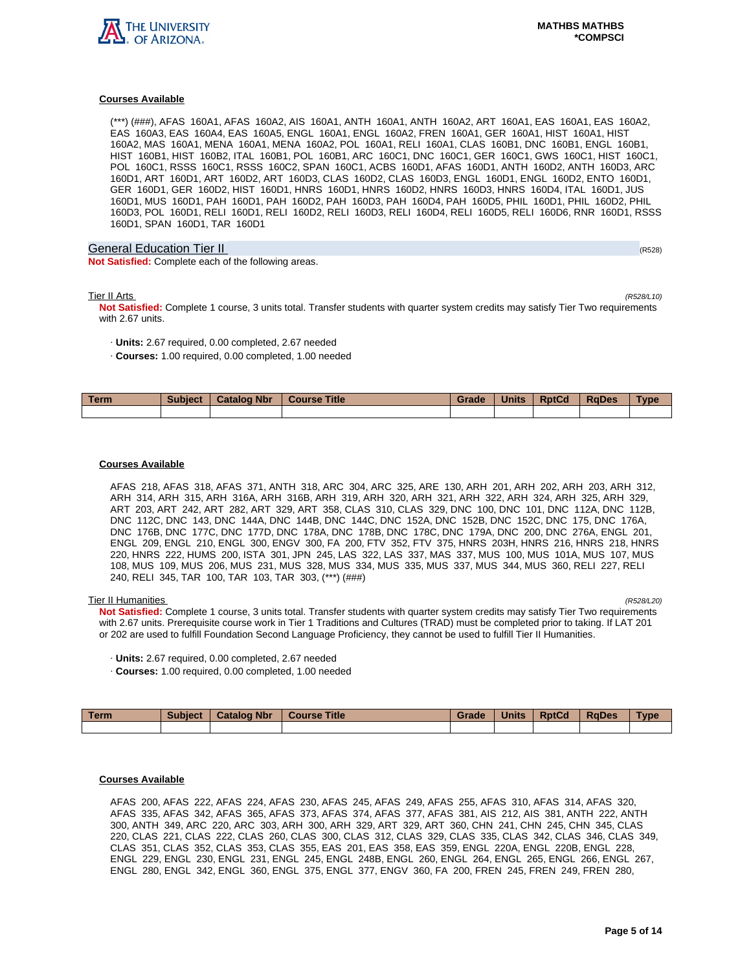

(\*\*\*) (###), AFAS 160A1, AFAS 160A2, AIS 160A1, ANTH 160A1, ANTH 160A2, ART 160A1, EAS 160A1, EAS 160A2, EAS 160A3, EAS 160A4, EAS 160A5, ENGL 160A1, ENGL 160A2, FREN 160A1, GER 160A1, HIST 160A1, HIST 160A2, MAS 160A1, MENA 160A1, MENA 160A2, POL 160A1, RELI 160A1, CLAS 160B1, DNC 160B1, ENGL 160B1, HIST 160B1, HIST 160B2, ITAL 160B1, POL 160B1, ARC 160C1, DNC 160C1, GER 160C1, GWS 160C1, HIST 160C1, POL 160C1, RSSS 160C1, RSSS 160C2, SPAN 160C1, ACBS 160D1, AFAS 160D1, ANTH 160D2, ANTH 160D3, ARC 160D1, ART 160D1, ART 160D2, ART 160D3, CLAS 160D2, CLAS 160D3, ENGL 160D1, ENGL 160D2, ENTO 160D1, GER 160D1, GER 160D2, HIST 160D1, HNRS 160D1, HNRS 160D2, HNRS 160D3, HNRS 160D4, ITAL 160D1, JUS 160D1, MUS 160D1, PAH 160D1, PAH 160D2, PAH 160D3, PAH 160D4, PAH 160D5, PHIL 160D1, PHIL 160D2, PHIL 160D3, POL 160D1, RELI 160D1, RELI 160D2, RELI 160D3, RELI 160D4, RELI 160D5, RELI 160D6, RNR 160D1, RSSS 160D1, SPAN 160D1, TAR 160D1

# General Education Tier II (R528) (R528) (R528) (R528) (R528) (R528) (R528) (R528)

**Not Satisfied:** Complete each of the following areas.

Tier II Arts (R528/L10)

**Not Satisfied:** Complete 1 course, 3 units total. Transfer students with quarter system credits may satisfy Tier Two requirements with 2.67 units.

- · **Units:** 2.67 required, 0.00 completed, 2.67 needed
- · **Courses:** 1.00 required, 0.00 completed, 1.00 needed

| <b>Term</b> | <b>Subject</b> | <b>Catalog Nbr</b> | <b>Title</b><br><b>Course</b> | Grade | <b>Units</b> | <b>RptCd</b> | <b>RaDes</b> | Type |
|-------------|----------------|--------------------|-------------------------------|-------|--------------|--------------|--------------|------|
|             |                |                    |                               |       |              |              |              |      |

## **Courses Available**

AFAS 218, AFAS 318, AFAS 371, ANTH 318, ARC 304, ARC 325, ARE 130, ARH 201, ARH 202, ARH 203, ARH 312, ARH 314, ARH 315, ARH 316A, ARH 316B, ARH 319, ARH 320, ARH 321, ARH 322, ARH 324, ARH 325, ARH 329, ART 203, ART 242, ART 282, ART 329, ART 358, CLAS 310, CLAS 329, DNC 100, DNC 101, DNC 112A, DNC 112B, DNC 112C, DNC 143, DNC 144A, DNC 144B, DNC 144C, DNC 152A, DNC 152B, DNC 152C, DNC 175, DNC 176A, DNC 176B, DNC 177C, DNC 177D, DNC 178A, DNC 178B, DNC 178C, DNC 179A, DNC 200, DNC 276A, ENGL 201, ENGL 209, ENGL 210, ENGL 300, ENGV 300, FA 200, FTV 352, FTV 375, HNRS 203H, HNRS 216, HNRS 218, HNRS 220, HNRS 222, HUMS 200, ISTA 301, JPN 245, LAS 322, LAS 337, MAS 337, MUS 100, MUS 101A, MUS 107, MUS 108, MUS 109, MUS 206, MUS 231, MUS 328, MUS 334, MUS 335, MUS 337, MUS 344, MUS 360, RELI 227, RELI 240, RELI 345, TAR 100, TAR 103, TAR 303, (\*\*\*) (###)

Tier II Humanities (R528/L20) **Not Satisfied:** Complete 1 course, 3 units total. Transfer students with quarter system credits may satisfy Tier Two requirements with 2.67 units. Prerequisite course work in Tier 1 Traditions and Cultures (TRAD) must be completed prior to taking. If LAT 201 or 202 are used to fulfill Foundation Second Language Proficiency, they cannot be used to fulfill Tier II Humanities.

- · **Units:** 2.67 required, 0.00 completed, 2.67 needed
- · **Courses:** 1.00 required, 0.00 completed, 1.00 needed

| Term | <b>Subject</b> | <b>Catalog Nbr</b> | <b>Course Title</b> | Grade | <b>Units</b> | <b>RptCd</b> | RaDes | <b>Type</b> |
|------|----------------|--------------------|---------------------|-------|--------------|--------------|-------|-------------|
|      |                |                    |                     |       |              |              |       |             |

# **Courses Available**

AFAS 200, AFAS 222, AFAS 224, AFAS 230, AFAS 245, AFAS 249, AFAS 255, AFAS 310, AFAS 314, AFAS 320, AFAS 335, AFAS 342, AFAS 365, AFAS 373, AFAS 374, AFAS 377, AFAS 381, AIS 212, AIS 381, ANTH 222, ANTH 300, ANTH 349, ARC 220, ARC 303, ARH 300, ARH 329, ART 329, ART 360, CHN 241, CHN 245, CHN 345, CLAS 220, CLAS 221, CLAS 222, CLAS 260, CLAS 300, CLAS 312, CLAS 329, CLAS 335, CLAS 342, CLAS 346, CLAS 349, CLAS 351, CLAS 352, CLAS 353, CLAS 355, EAS 201, EAS 358, EAS 359, ENGL 220A, ENGL 220B, ENGL 228, ENGL 229, ENGL 230, ENGL 231, ENGL 245, ENGL 248B, ENGL 260, ENGL 264, ENGL 265, ENGL 266, ENGL 267, ENGL 280, ENGL 342, ENGL 360, ENGL 375, ENGL 377, ENGV 360, FA 200, FREN 245, FREN 249, FREN 280,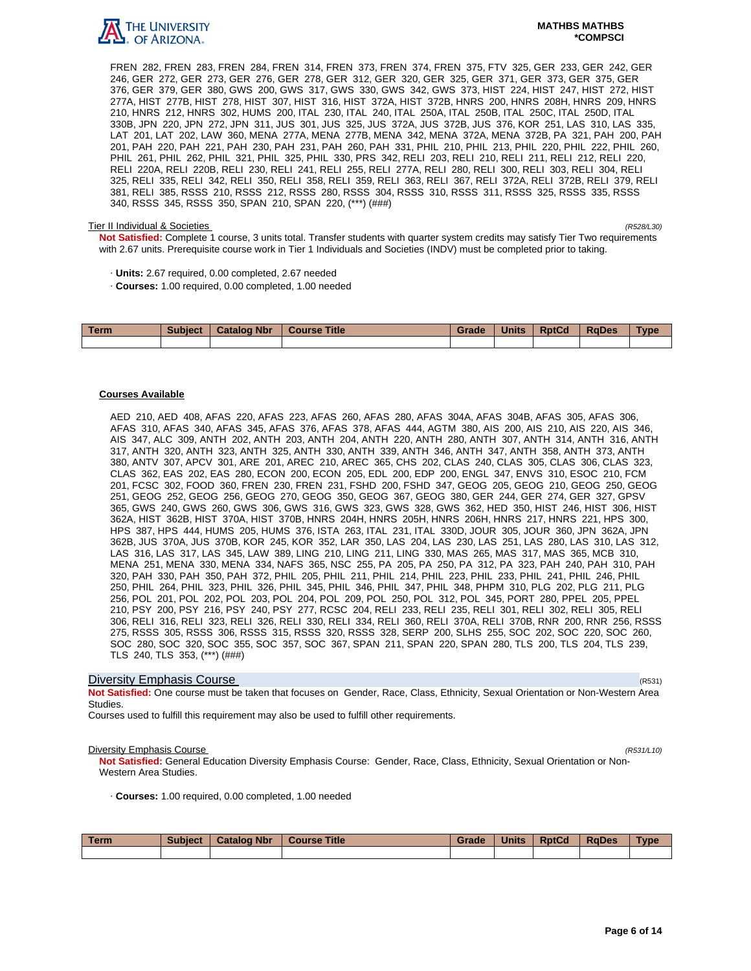

FREN 282, FREN 283, FREN 284, FREN 314, FREN 373, FREN 374, FREN 375, FTV 325, GER 233, GER 242, GER 246, GER 272, GER 273, GER 276, GER 278, GER 312, GER 320, GER 325, GER 371, GER 373, GER 375, GER 376, GER 379, GER 380, GWS 200, GWS 317, GWS 330, GWS 342, GWS 373, HIST 224, HIST 247, HIST 272, HIST 277A, HIST 277B, HIST 278, HIST 307, HIST 316, HIST 372A, HIST 372B, HNRS 200, HNRS 208H, HNRS 209, HNRS 210, HNRS 212, HNRS 302, HUMS 200, ITAL 230, ITAL 240, ITAL 250A, ITAL 250B, ITAL 250C, ITAL 250D, ITAL 330B, JPN 220, JPN 272, JPN 311, JUS 301, JUS 325, JUS 372A, JUS 372B, JUS 376, KOR 251, LAS 310, LAS 335, LAT 201, LAT 202, LAW 360, MENA 277A, MENA 277B, MENA 342, MENA 372A, MENA 372B, PA 321, PAH 200, PAH 201, PAH 220, PAH 221, PAH 230, PAH 231, PAH 260, PAH 331, PHIL 210, PHIL 213, PHIL 220, PHIL 222, PHIL 260, PHIL 261, PHIL 262, PHIL 321, PHIL 325, PHIL 330, PRS 342, RELI 203, RELI 210, RELI 211, RELI 212, RELI 220, RELI 220A, RELI 220B, RELI 230, RELI 241, RELI 255, RELI 277A, RELI 280, RELI 300, RELI 303, RELI 304, RELI 325, RELI 335, RELI 342, RELI 350, RELI 358, RELI 359, RELI 363, RELI 367, RELI 372A, RELI 372B, RELI 379, RELI 381, RELI 385, RSSS 210, RSSS 212, RSSS 280, RSSS 304, RSSS 310, RSSS 311, RSSS 325, RSSS 335, RSSS 340, RSSS 345, RSSS 350, SPAN 210, SPAN 220, (\*\*\*) (###)

#### Tier II Individual & Societies (R528/L30)

**Not Satisfied:** Complete 1 course, 3 units total. Transfer students with quarter system credits may satisfy Tier Two requirements with 2.67 units. Prerequisite course work in Tier 1 Individuals and Societies (INDV) must be completed prior to taking.

- · **Units:** 2.67 required, 0.00 completed, 2.67 needed
- · **Courses:** 1.00 required, 0.00 completed, 1.00 needed

| <b>Term</b> | <b>Subject</b> | <b>Catalog Nbr</b> | <b>Course Title</b> | Grade | <b>Units</b> | <b>RptCd</b> | <b>RaDes</b> | <b>Type</b> |
|-------------|----------------|--------------------|---------------------|-------|--------------|--------------|--------------|-------------|
|             |                |                    |                     |       |              |              |              |             |

### **Courses Available**

AED 210, AED 408, AFAS 220, AFAS 223, AFAS 260, AFAS 280, AFAS 304A, AFAS 304B, AFAS 305, AFAS 306, AFAS 310, AFAS 340, AFAS 345, AFAS 376, AFAS 378, AFAS 444, AGTM 380, AIS 200, AIS 210, AIS 220, AIS 346, AIS 347, ALC 309, ANTH 202, ANTH 203, ANTH 204, ANTH 220, ANTH 280, ANTH 307, ANTH 314, ANTH 316, ANTH 317, ANTH 320, ANTH 323, ANTH 325, ANTH 330, ANTH 339, ANTH 346, ANTH 347, ANTH 358, ANTH 373, ANTH 380, ANTV 307, APCV 301, ARE 201, AREC 210, AREC 365, CHS 202, CLAS 240, CLAS 305, CLAS 306, CLAS 323, CLAS 362, EAS 202, EAS 280, ECON 200, ECON 205, EDL 200, EDP 200, ENGL 347, ENVS 310, ESOC 210, FCM 201, FCSC 302, FOOD 360, FREN 230, FREN 231, FSHD 200, FSHD 347, GEOG 205, GEOG 210, GEOG 250, GEOG 251, GEOG 252, GEOG 256, GEOG 270, GEOG 350, GEOG 367, GEOG 380, GER 244, GER 274, GER 327, GPSV 365, GWS 240, GWS 260, GWS 306, GWS 316, GWS 323, GWS 328, GWS 362, HED 350, HIST 246, HIST 306, HIST 362A, HIST 362B, HIST 370A, HIST 370B, HNRS 204H, HNRS 205H, HNRS 206H, HNRS 217, HNRS 221, HPS 300, HPS 387, HPS 444, HUMS 205, HUMS 376, ISTA 263, ITAL 231, ITAL 330D, JOUR 305, JOUR 360, JPN 362A, JPN 362B, JUS 370A, JUS 370B, KOR 245, KOR 352, LAR 350, LAS 204, LAS 230, LAS 251, LAS 280, LAS 310, LAS 312, LAS 316, LAS 317, LAS 345, LAW 389, LING 210, LING 211, LING 330, MAS 265, MAS 317, MAS 365, MCB 310, MENA 251, MENA 330, MENA 334, NAFS 365, NSC 255, PA 205, PA 250, PA 312, PA 323, PAH 240, PAH 310, PAH 320, PAH 330, PAH 350, PAH 372, PHIL 205, PHIL 211, PHIL 214, PHIL 223, PHIL 233, PHIL 241, PHIL 246, PHIL 250, PHIL 264, PHIL 323, PHIL 326, PHIL 345, PHIL 346, PHIL 347, PHIL 348, PHPM 310, PLG 202, PLG 211, PLG 256, POL 201, POL 202, POL 203, POL 204, POL 209, POL 250, POL 312, POL 345, PORT 280, PPEL 205, PPEL 210, PSY 200, PSY 216, PSY 240, PSY 277, RCSC 204, RELI 233, RELI 235, RELI 301, RELI 302, RELI 305, RELI 306, RELI 316, RELI 323, RELI 326, RELI 330, RELI 334, RELI 360, RELI 370A, RELI 370B, RNR 200, RNR 256, RSSS 275, RSSS 305, RSSS 306, RSSS 315, RSSS 320, RSSS 328, SERP 200, SLHS 255, SOC 202, SOC 220, SOC 260, SOC 280, SOC 320, SOC 355, SOC 357, SOC 367, SPAN 211, SPAN 220, SPAN 280, TLS 200, TLS 204, TLS 239, TLS 240, TLS 353, (\*\*\*) (###)

## **Diversity Emphasis Course** (R531) **Diversity Emphasis Course**

**Not Satisfied:** One course must be taken that focuses on Gender, Race, Class, Ethnicity, Sexual Orientation or Non-Western Area Studies.

Courses used to fulfill this requirement may also be used to fulfill other requirements.

#### **Diversity Emphasis Course** (R531/L10)

**Not Satisfied:** General Education Diversity Emphasis Course: Gender, Race, Class, Ethnicity, Sexual Orientation or Non-Western Area Studies.

· **Courses:** 1.00 required, 0.00 completed, 1.00 needed

| Term | <b>Subject</b> | <b>Catalog Nbr</b> | <b>Course Title</b> | Grade | <b>Units</b> | <b>RptCd</b> | <b>RaDes</b> | <b>Type</b> |
|------|----------------|--------------------|---------------------|-------|--------------|--------------|--------------|-------------|
|      |                |                    |                     |       |              |              |              |             |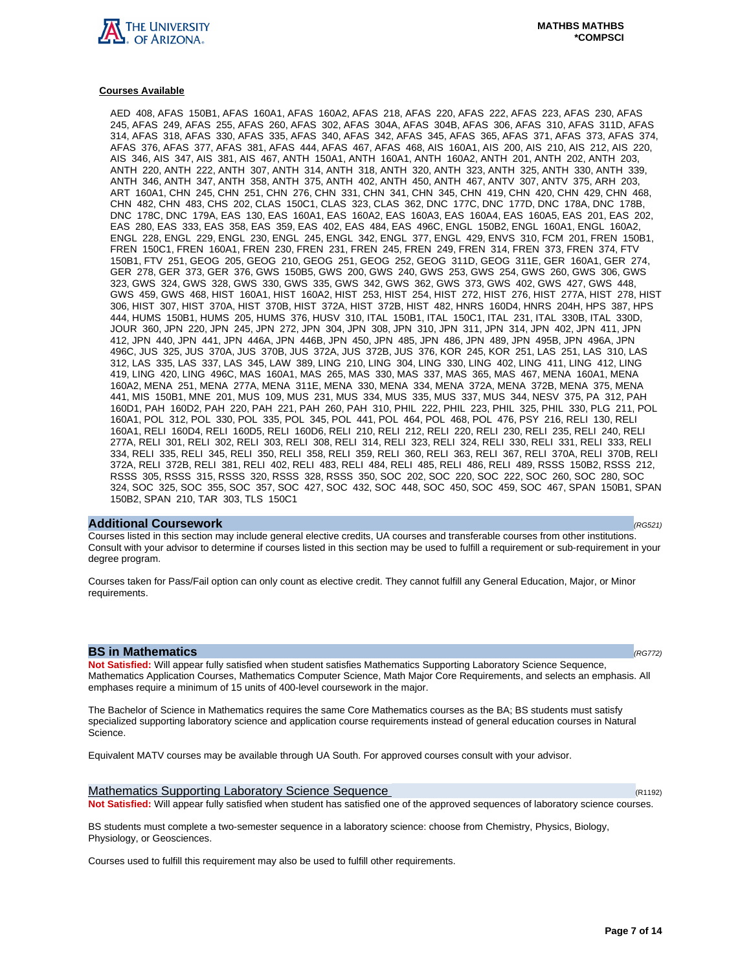

AED 408, AFAS 150B1, AFAS 160A1, AFAS 160A2, AFAS 218, AFAS 220, AFAS 222, AFAS 223, AFAS 230, AFAS 245, AFAS 249, AFAS 255, AFAS 260, AFAS 302, AFAS 304A, AFAS 304B, AFAS 306, AFAS 310, AFAS 311D, AFAS 314, AFAS 318, AFAS 330, AFAS 335, AFAS 340, AFAS 342, AFAS 345, AFAS 365, AFAS 371, AFAS 373, AFAS 374, AFAS 376, AFAS 377, AFAS 381, AFAS 444, AFAS 467, AFAS 468, AIS 160A1, AIS 200, AIS 210, AIS 212, AIS 220, AIS 346, AIS 347, AIS 381, AIS 467, ANTH 150A1, ANTH 160A1, ANTH 160A2, ANTH 201, ANTH 202, ANTH 203, ANTH 220, ANTH 222, ANTH 307, ANTH 314, ANTH 318, ANTH 320, ANTH 323, ANTH 325, ANTH 330, ANTH 339, ANTH 346, ANTH 347, ANTH 358, ANTH 375, ANTH 402, ANTH 450, ANTH 467, ANTV 307, ANTV 375, ARH 203, ART 160A1, CHN 245, CHN 251, CHN 276, CHN 331, CHN 341, CHN 345, CHN 419, CHN 420, CHN 429, CHN 468, CHN 482, CHN 483, CHS 202, CLAS 150C1, CLAS 323, CLAS 362, DNC 177C, DNC 177D, DNC 178A, DNC 178B, DNC 178C, DNC 179A, EAS 130, EAS 160A1, EAS 160A2, EAS 160A3, EAS 160A4, EAS 160A5, EAS 201, EAS 202, EAS 280, EAS 333, EAS 358, EAS 359, EAS 402, EAS 484, EAS 496C, ENGL 150B2, ENGL 160A1, ENGL 160A2, ENGL 228, ENGL 229, ENGL 230, ENGL 245, ENGL 342, ENGL 377, ENGL 429, ENVS 310, FCM 201, FREN 150B1, FREN 150C1, FREN 160A1, FREN 230, FREN 231, FREN 245, FREN 249, FREN 314, FREN 373, FREN 374, FTV 150B1, FTV 251, GEOG 205, GEOG 210, GEOG 251, GEOG 252, GEOG 311D, GEOG 311E, GER 160A1, GER 274, GER 278, GER 373, GER 376, GWS 150B5, GWS 200, GWS 240, GWS 253, GWS 254, GWS 260, GWS 306, GWS 323, GWS 324, GWS 328, GWS 330, GWS 335, GWS 342, GWS 362, GWS 373, GWS 402, GWS 427, GWS 448, GWS 459, GWS 468, HIST 160A1, HIST 160A2, HIST 253, HIST 254, HIST 272, HIST 276, HIST 277A, HIST 278, HIST 306, HIST 307, HIST 370A, HIST 370B, HIST 372A, HIST 372B, HIST 482, HNRS 160D4, HNRS 204H, HPS 387, HPS 444, HUMS 150B1, HUMS 205, HUMS 376, HUSV 310, ITAL 150B1, ITAL 150C1, ITAL 231, ITAL 330B, ITAL 330D, JOUR 360, JPN 220, JPN 245, JPN 272, JPN 304, JPN 308, JPN 310, JPN 311, JPN 314, JPN 402, JPN 411, JPN 412, JPN 440, JPN 441, JPN 446A, JPN 446B, JPN 450, JPN 485, JPN 486, JPN 489, JPN 495B, JPN 496A, JPN 496C, JUS 325, JUS 370A, JUS 370B, JUS 372A, JUS 372B, JUS 376, KOR 245, KOR 251, LAS 251, LAS 310, LAS 312, LAS 335, LAS 337, LAS 345, LAW 389, LING 210, LING 304, LING 330, LING 402, LING 411, LING 412, LING 419, LING 420, LING 496C, MAS 160A1, MAS 265, MAS 330, MAS 337, MAS 365, MAS 467, MENA 160A1, MENA 160A2, MENA 251, MENA 277A, MENA 311E, MENA 330, MENA 334, MENA 372A, MENA 372B, MENA 375, MENA 441, MIS 150B1, MNE 201, MUS 109, MUS 231, MUS 334, MUS 335, MUS 337, MUS 344, NESV 375, PA 312, PAH 160D1, PAH 160D2, PAH 220, PAH 221, PAH 260, PAH 310, PHIL 222, PHIL 223, PHIL 325, PHIL 330, PLG 211, POL 160A1, POL 312, POL 330, POL 335, POL 345, POL 441, POL 464, POL 468, POL 476, PSY 216, RELI 130, RELI 160A1, RELI 160D4, RELI 160D5, RELI 160D6, RELI 210, RELI 212, RELI 220, RELI 230, RELI 235, RELI 240, RELI 277A, RELI 301, RELI 302, RELI 303, RELI 308, RELI 314, RELI 323, RELI 324, RELI 330, RELI 331, RELI 333, RELI 334, RELI 335, RELI 345, RELI 350, RELI 358, RELI 359, RELI 360, RELI 363, RELI 367, RELI 370A, RELI 370B, RELI 372A, RELI 372B, RELI 381, RELI 402, RELI 483, RELI 484, RELI 485, RELI 486, RELI 489, RSSS 150B2, RSSS 212, RSSS 305, RSSS 315, RSSS 320, RSSS 328, RSSS 350, SOC 202, SOC 220, SOC 222, SOC 260, SOC 280, SOC 324, SOC 325, SOC 355, SOC 357, SOC 427, SOC 432, SOC 448, SOC 450, SOC 459, SOC 467, SPAN 150B1, SPAN 150B2, SPAN 210, TAR 303, TLS 150C1

#### **Additional Coursework** (RG521)

Courses listed in this section may include general elective credits, UA courses and transferable courses from other institutions. Consult with your advisor to determine if courses listed in this section may be used to fulfill a requirement or sub-requirement in your degree program.

Courses taken for Pass/Fail option can only count as elective credit. They cannot fulfill any General Education, Major, or Minor requirements.

#### **BS in Mathematics (RG772)**

**Not Satisfied:** Will appear fully satisfied when student satisfies Mathematics Supporting Laboratory Science Sequence, Mathematics Application Courses, Mathematics Computer Science, Math Major Core Requirements, and selects an emphasis. All emphases require a minimum of 15 units of 400-level coursework in the major.

The Bachelor of Science in Mathematics requires the same Core Mathematics courses as the BA; BS students must satisfy specialized supporting laboratory science and application course requirements instead of general education courses in Natural Science.

Equivalent MATV courses may be available through UA South. For approved courses consult with your advisor.

Mathematics Supporting Laboratory Science Sequence (R1192)  $(R1192)$ **Not Satisfied:** Will appear fully satisfied when student has satisfied one of the approved sequences of laboratory science courses.

BS students must complete a two-semester sequence in a laboratory science: choose from Chemistry, Physics, Biology, Physiology, or Geosciences.

Courses used to fulfill this requirement may also be used to fulfill other requirements.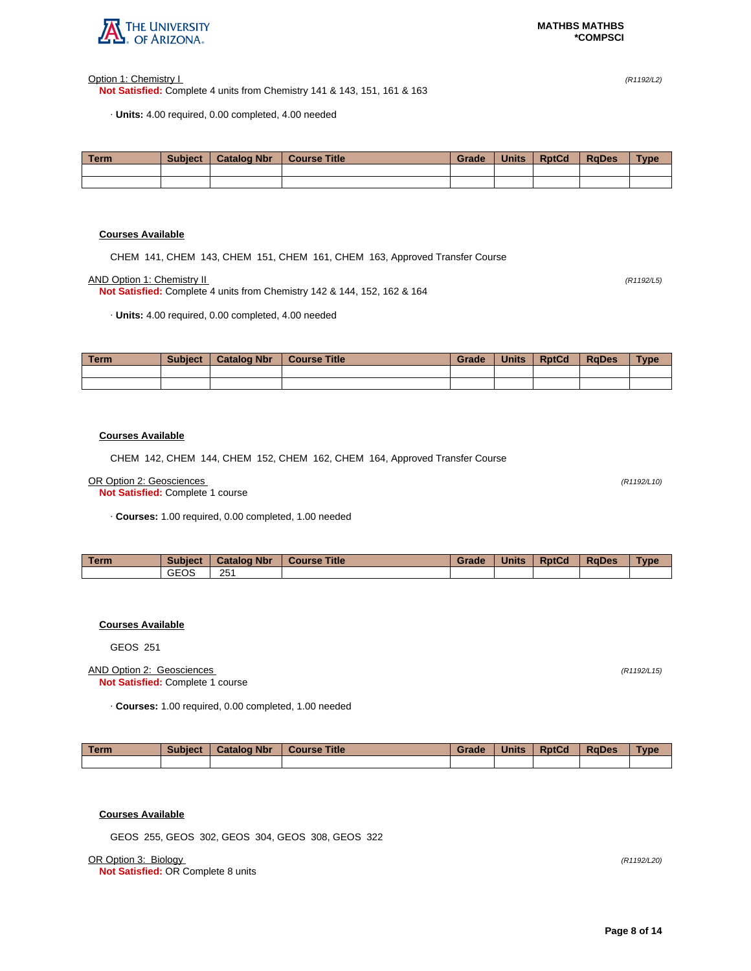

Option 1: Chemistry I (R1192/L2)

**Not Satisfied:** Complete 4 units from Chemistry 141 & 143, 151, 161 & 163

· **Units:** 4.00 required, 0.00 completed, 4.00 needed

| <b>Term</b> | <b>Subject</b> | <b>Catalog Nbr</b> | <b>Course Title</b> | Grade | <b>Units</b> | <b>RptCd</b> | <b>RaDes</b> | <b>Type</b> |
|-------------|----------------|--------------------|---------------------|-------|--------------|--------------|--------------|-------------|
|             |                |                    |                     |       |              |              |              |             |
|             |                |                    |                     |       |              |              |              |             |

# **Courses Available**

CHEM 141, CHEM 143, CHEM 151, CHEM 161, CHEM 163, Approved Transfer Course

AND Option 1: Chemistry II (R1192/L5)

**Not Satisfied:** Complete 4 units from Chemistry 142 & 144, 152, 162 & 164

· **Units:** 4.00 required, 0.00 completed, 4.00 needed

| Term | <b>Subject</b> | <b>Catalog Nbr</b> | <b>Course Title</b> | Grade | <b>Units</b> | <b>RptCd</b> | <b>RaDes</b> | <b>Type</b> |
|------|----------------|--------------------|---------------------|-------|--------------|--------------|--------------|-------------|
|      |                |                    |                     |       |              |              |              |             |
|      |                |                    |                     |       |              |              |              |             |

## **Courses Available**

CHEM 142, CHEM 144, CHEM 152, CHEM 162, CHEM 164, Approved Transfer Course

#### OR Option 2: Geosciences (R1192/L10)

**Not Satisfied:** Complete 1 course

· **Courses:** 1.00 required, 0.00 completed, 1.00 needed

| Term | <b>Subject</b> | <b>Catalog Nbr</b> | <b>Title</b><br><b>Course</b> | Grade | <b>Units</b> | <b>RptCd</b> | <b>RaDes</b> | Type |
|------|----------------|--------------------|-------------------------------|-------|--------------|--------------|--------------|------|
|      | GEOS           | 251                |                               |       |              |              |              |      |

# **Courses Available**

GEOS 251

## AND Option 2: Geosciences (R1192/L15) **Not Satisfied:** Complete 1 course

· **Courses:** 1.00 required, 0.00 completed, 1.00 needed

| <b>Term</b> | <b>Subject</b> | <b>Catalog Nbr</b> | <b>Course Title</b> | Grade | <b>Units</b> | <b>RptCd</b> | <b>RaDes</b> | <b>Type</b> |
|-------------|----------------|--------------------|---------------------|-------|--------------|--------------|--------------|-------------|
|             |                |                    |                     |       |              |              |              |             |

# **Courses Available**

GEOS 255, GEOS 302, GEOS 304, GEOS 308, GEOS 322

OR Option 3: Biology (R1192/L20)

**Not Satisfied:** OR Complete 8 units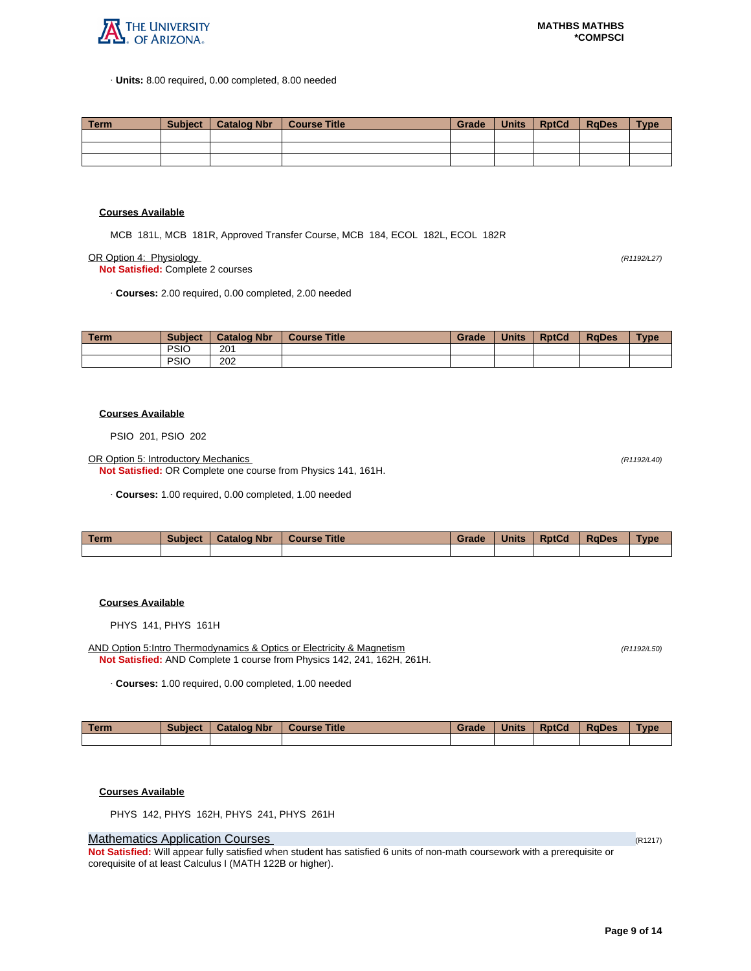

· **Units:** 8.00 required, 0.00 completed, 8.00 needed

| Term | Subiect | <sup>1</sup> Catalog Nbr | Course Title | Grade | Units | <b>RptCd</b> | RaDes | <b>Type</b> |
|------|---------|--------------------------|--------------|-------|-------|--------------|-------|-------------|
|      |         |                          |              |       |       |              |       |             |
|      |         |                          |              |       |       |              |       |             |
|      |         |                          |              |       |       |              |       |             |

#### **Courses Available**

MCB 181L, MCB 181R, Approved Transfer Course, MCB 184, ECOL 182L, ECOL 182R

OR Option 4: Physiology (R1192/L27)

**Not Satisfied:** Complete 2 courses

· **Courses:** 2.00 required, 0.00 completed, 2.00 needed

| <b>Term</b> | <b>Subject</b> | <b>Catalog Nbr</b> | <b>Course Title</b> | Grade | <b>Units</b> | <b>RptCd</b> | <b>RaDes</b> | <b>Type</b> |
|-------------|----------------|--------------------|---------------------|-------|--------------|--------------|--------------|-------------|
|             | <b>PSIO</b>    | 201                |                     |       |              |              |              |             |
|             | <b>PSIC</b>    | 202                |                     |       |              |              |              |             |

#### **Courses Available**

PSIO 201, PSIO 202

OR Option 5: Introductory Mechanics (R1192/L40)

**Not Satisfied:** OR Complete one course from Physics 141, 161H.

· **Courses:** 1.00 required, 0.00 completed, 1.00 needed

| <b>Term</b> | Subject | <b>Catalog Nbr</b> | <b>Course Title</b> | Grade | <b>Units</b> | <b>RptCd</b> | <b>RaDes</b> | Type |
|-------------|---------|--------------------|---------------------|-------|--------------|--------------|--------------|------|
|             |         |                    |                     |       |              |              |              |      |

# **Courses Available**

PHYS 141, PHYS 161H

AND Option 5:Intro Thermodynamics & Optics or Electricity & Magnetism (R1192/L50) (R1192/L50) **Not Satisfied:** AND Complete 1 course from Physics 142, 241, 162H, 261H.

· **Courses:** 1.00 required, 0.00 completed, 1.00 needed

| Term | <b>Subject</b> | <b>Catalog Nbr</b> | Course Title | Grade | <b>Units</b> | <b>RptCd</b> | <b>RaDes</b> | <b>Type</b> |
|------|----------------|--------------------|--------------|-------|--------------|--------------|--------------|-------------|
|      |                |                    |              |       |              |              |              |             |

#### **Courses Available**

PHYS 142, PHYS 162H, PHYS 241, PHYS 261H

# **Mathematics Application Courses (R1217)** (R1217)

**Not Satisfied:** Will appear fully satisfied when student has satisfied 6 units of non-math coursework with a prerequisite or corequisite of at least Calculus I (MATH 122B or higher).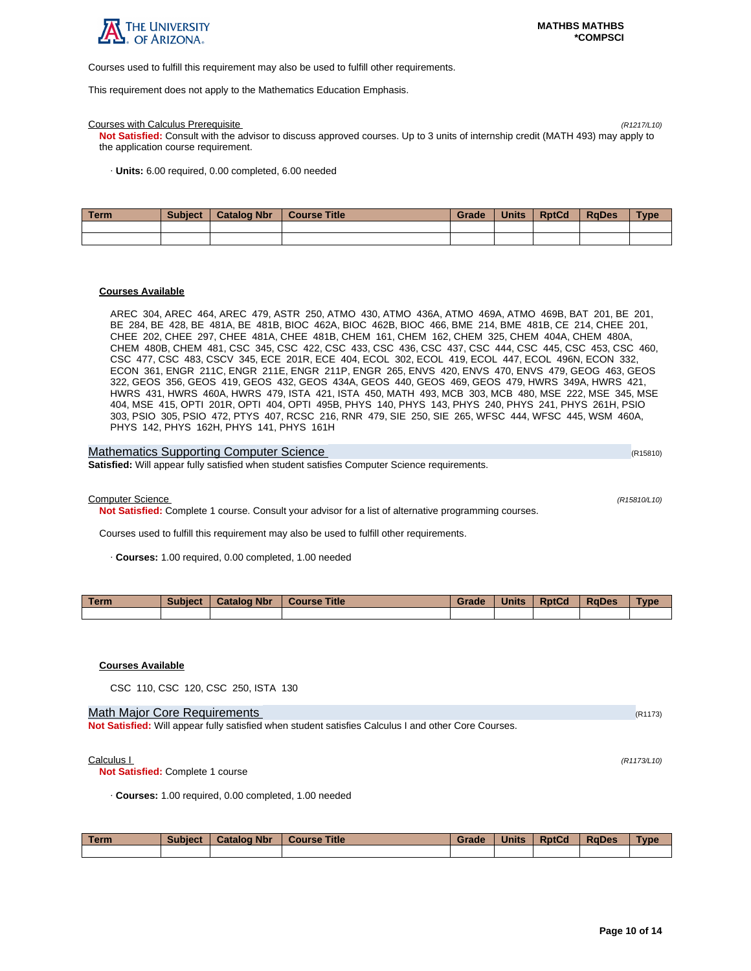

Courses used to fulfill this requirement may also be used to fulfill other requirements.

This requirement does not apply to the Mathematics Education Emphasis.

#### Courses with Calculus Prerequisite (R1217/L10)

**Not Satisfied:** Consult with the advisor to discuss approved courses. Up to 3 units of internship credit (MATH 493) may apply to the application course requirement.

· **Units:** 6.00 required, 0.00 completed, 6.00 needed

| l Term | <b>Subject</b> | <b>Catalog Nbr</b> | Course Title | Grade | <b>Units</b> | <b>RptCd</b> | <b>RaDes</b> | <b>Type</b> |
|--------|----------------|--------------------|--------------|-------|--------------|--------------|--------------|-------------|
|        |                |                    |              |       |              |              |              |             |
|        |                |                    |              |       |              |              |              |             |

### **Courses Available**

AREC 304, AREC 464, AREC 479, ASTR 250, ATMO 430, ATMO 436A, ATMO 469A, ATMO 469B, BAT 201, BE 201, BE 284, BE 428, BE 481A, BE 481B, BIOC 462A, BIOC 462B, BIOC 466, BME 214, BME 481B, CE 214, CHEE 201, CHEE 202, CHEE 297, CHEE 481A, CHEE 481B, CHEM 161, CHEM 162, CHEM 325, CHEM 404A, CHEM 480A, CHEM 480B, CHEM 481, CSC 345, CSC 422, CSC 433, CSC 436, CSC 437, CSC 444, CSC 445, CSC 453, CSC 460, CSC 477, CSC 483, CSCV 345, ECE 201R, ECE 404, ECOL 302, ECOL 419, ECOL 447, ECOL 496N, ECON 332, ECON 361, ENGR 211C, ENGR 211E, ENGR 211P, ENGR 265, ENVS 420, ENVS 470, ENVS 479, GEOG 463, GEOS 322, GEOS 356, GEOS 419, GEOS 432, GEOS 434A, GEOS 440, GEOS 469, GEOS 479, HWRS 349A, HWRS 421, HWRS 431, HWRS 460A, HWRS 479, ISTA 421, ISTA 450, MATH 493, MCB 303, MCB 480, MSE 222, MSE 345, MSE 404, MSE 415, OPTI 201R, OPTI 404, OPTI 495B, PHYS 140, PHYS 143, PHYS 240, PHYS 241, PHYS 261H, PSIO 303, PSIO 305, PSIO 472, PTYS 407, RCSC 216, RNR 479, SIE 250, SIE 265, WFSC 444, WFSC 445, WSM 460A, PHYS 142, PHYS 162H, PHYS 141, PHYS 161H

| Mathematics Supporting Computer Science                                                             | (R15810) |
|-----------------------------------------------------------------------------------------------------|----------|
| <b>Satisfied:</b> Will appear fully satisfied when student satisfies Computer Science requirements. |          |

Computer Science (R15810/L10)

**Not Satisfied:** Complete 1 course. Consult your advisor for a list of alternative programming courses.

Courses used to fulfill this requirement may also be used to fulfill other requirements.

· **Courses:** 1.00 required, 0.00 completed, 1.00 needed

| Term. | <b>Subject</b> | <b>Catalog Nbr</b> | <b>Course Title</b> | Grade | <b>Units</b> | <b>RptCd</b> | <b>RaDes</b> | Type |
|-------|----------------|--------------------|---------------------|-------|--------------|--------------|--------------|------|
|       |                |                    |                     |       |              |              |              |      |

## **Courses Available**

CSC 110, CSC 120, CSC 250, ISTA 130

# Math Major Core Requirements (R1173) (R1173)

**Not Satisfied:** Will appear fully satisfied when student satisfies Calculus I and other Core Courses.

 $\text{Calculus } I$  (R1173/L10)

**Not Satisfied:** Complete 1 course

· **Courses:** 1.00 required, 0.00 completed, 1.00 needed

| Term | <b>Subject</b> | <b>Catalog Nbr</b> | <b>Course Title</b> | Grade | <b>Units</b> | <b>RptCd</b> | RaDes | <b>Type</b> |
|------|----------------|--------------------|---------------------|-------|--------------|--------------|-------|-------------|
|      |                |                    |                     |       |              |              |       |             |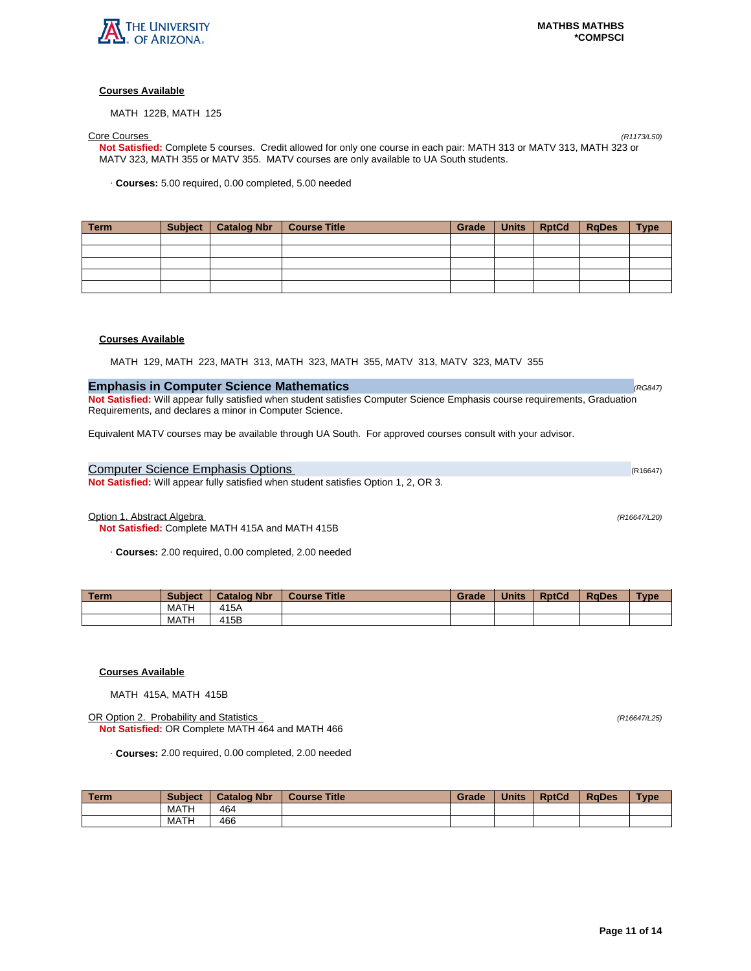

MATH 122B, MATH 125

Core Courses (R1173/L50) **Not Satisfied:** Complete 5 courses. Credit allowed for only one course in each pair: MATH 313 or MATV 313, MATH 323 or MATV 323, MATH 355 or MATV 355. MATV courses are only available to UA South students.

· **Courses:** 5.00 required, 0.00 completed, 5.00 needed

| Term | Subject   Catalog Nbr   Course Title | Grade | Units RptCd | RaDes | <b>Type</b> |
|------|--------------------------------------|-------|-------------|-------|-------------|
|      |                                      |       |             |       |             |
|      |                                      |       |             |       |             |
|      |                                      |       |             |       |             |
|      |                                      |       |             |       |             |
|      |                                      |       |             |       |             |

# **Courses Available**

MATH 129, MATH 223, MATH 313, MATH 323, MATH 355, MATV 313, MATV 323, MATV 355

# **Emphasis in Computer Science Mathematics**  (RG847) **COMPUTER (RG847) CONSTRUCTER (RG847)**

**Not Satisfied:** Will appear fully satisfied when student satisfies Computer Science Emphasis course requirements, Graduation Requirements, and declares a minor in Computer Science.

Equivalent MATV courses may be available through UA South. For approved courses consult with your advisor.

# Computer Science Emphasis Options (R16647) (R16647)

**Not Satisfied:** Will appear fully satisfied when student satisfies Option 1, 2, OR 3.

Option 1. Abstract Algebra (R16647/L20)

**Not Satisfied:** Complete MATH 415A and MATH 415B

· **Courses:** 2.00 required, 0.00 completed, 2.00 needed

| Term. | <b>Subject</b> | <b>Catalog Nbr</b> | <b>Course Title</b> | Grade | <b>Units</b> | <b>RptCd</b> | <b>RaDes</b> | <b>Type</b> |
|-------|----------------|--------------------|---------------------|-------|--------------|--------------|--------------|-------------|
|       | MATH           | 415A               |                     |       |              |              |              |             |
|       | <b>MATH</b>    | 15B                |                     |       |              |              |              |             |

# **Courses Available**

MATH 415A, MATH 415B

OR Option 2. Probability and Statistics (R16647/L25) **Not Satisfied:** OR Complete MATH 464 and MATH 466

· **Courses:** 2.00 required, 0.00 completed, 2.00 needed

| Term | <b>Subject</b> | <b>Catalog Nbr</b> | <b>Course Title</b> | Grade | <b>Units</b> | <b>RptCd</b> | <b>RaDes</b> | <b>Type</b> |
|------|----------------|--------------------|---------------------|-------|--------------|--------------|--------------|-------------|
|      | MATH           | 464                |                     |       |              |              |              |             |
|      | MATH           | 466                |                     |       |              |              |              |             |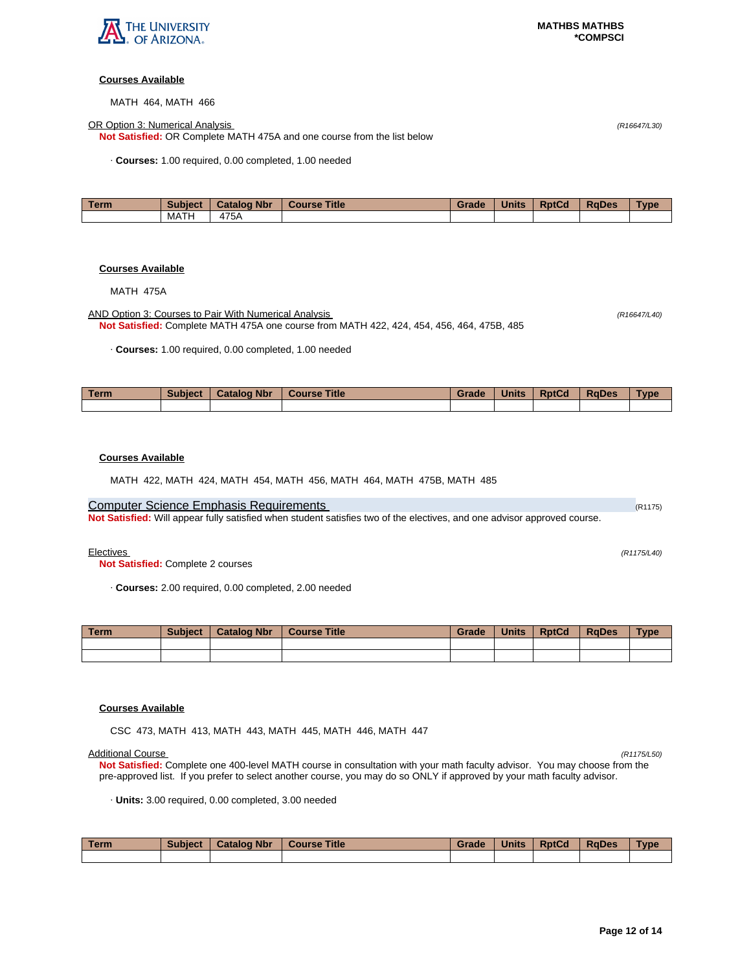

MATH 464, MATH 466

OR Option 3: Numerical Analysis (R16647/L30)

**Not Satisfied:** OR Complete MATH 475A and one course from the list below

· **Courses:** 1.00 required, 0.00 completed, 1.00 needed

| Term | <b>Subject</b> | <b>Catalog Nbr</b> | <b>Title</b><br><b>Course</b> | Grade | <b>Units</b> | <b>RptCd</b> | <b>RaDes</b> | <b>Type</b> |
|------|----------------|--------------------|-------------------------------|-------|--------------|--------------|--------------|-------------|
|      | MATH           | 475A               |                               |       |              |              |              |             |

# **Courses Available**

MATH 475A

AND Option 3: Courses to Pair With Numerical Analysis (R16647/L40) **Not Satisfied:** Complete MATH 475A one course from MATH 422, 424, 454, 456, 464, 475B, 485

· **Courses:** 1.00 required, 0.00 completed, 1.00 needed

| Term | <b>Subject</b> | <b>Catalog Nbr</b> | <b>Course Title</b> | Grade | <b>Units</b> | <b>RptCd</b> | RaDes | Type |
|------|----------------|--------------------|---------------------|-------|--------------|--------------|-------|------|
|      |                |                    |                     |       |              |              |       |      |

# **Courses Available**

MATH 422, MATH 424, MATH 454, MATH 456, MATH 464, MATH 475B, MATH 485

# Computer Science Emphasis Requirements (R1175) and Computer Computer Science (R1175)

**Not Satisfied:** Will appear fully satisfied when student satisfies two of the electives, and one advisor approved course.

Electives (R1175/L40)

**Not Satisfied:** Complete 2 courses

· **Courses:** 2.00 required, 0.00 completed, 2.00 needed

| Term | <b>Subject</b> | <b>Catalog Nbr</b> | <b>Course Title</b> | Grade | <b>Units</b> | <b>RptCd</b> | RaDes | <b>Type</b> |
|------|----------------|--------------------|---------------------|-------|--------------|--------------|-------|-------------|
|      |                |                    |                     |       |              |              |       |             |
|      |                |                    |                     |       |              |              |       |             |

## **Courses Available**

CSC 473, MATH 413, MATH 443, MATH 445, MATH 446, MATH 447

Additional Course (R1175/L50) **Not Satisfied:** Complete one 400-level MATH course in consultation with your math faculty advisor. You may choose from the pre-approved list. If you prefer to select another course, you may do so ONLY if approved by your math faculty advisor.

· **Units:** 3.00 required, 0.00 completed, 3.00 needed

| <b>Term</b> | <b>Subject</b> | <b>Catalog Nbr</b> | <b>Course Title</b> | Grade | <b>Units</b> | <b>RptCd</b> | <b>RaDes</b> | <b>Type</b> |
|-------------|----------------|--------------------|---------------------|-------|--------------|--------------|--------------|-------------|
|             |                |                    |                     |       |              |              |              |             |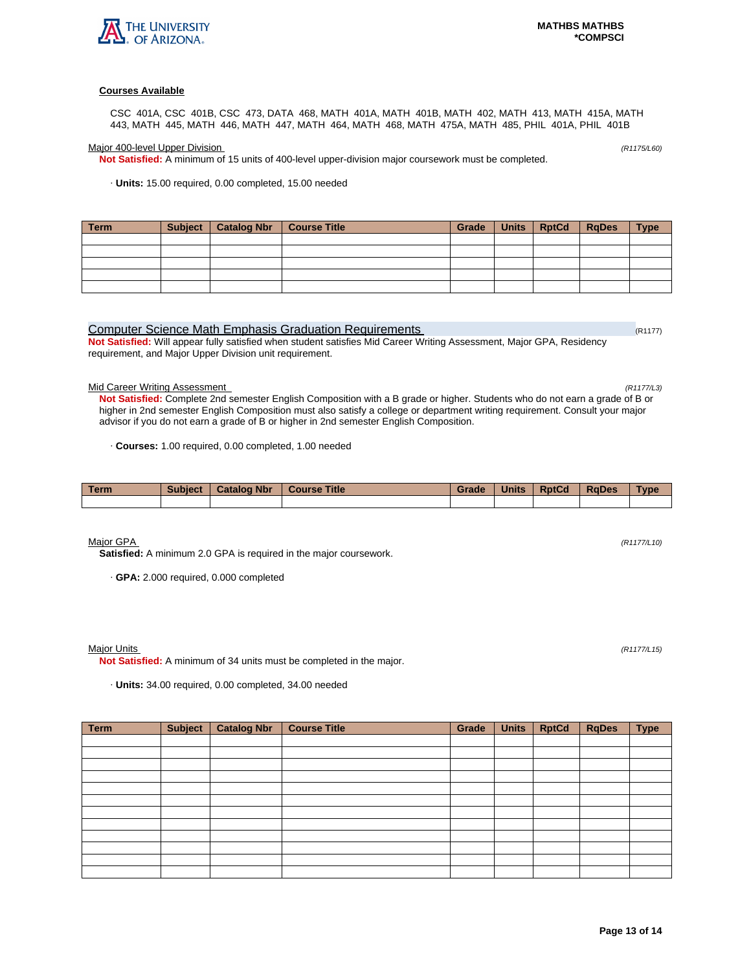

CSC 401A, CSC 401B, CSC 473, DATA 468, MATH 401A, MATH 401B, MATH 402, MATH 413, MATH 415A, MATH 443, MATH 445, MATH 446, MATH 447, MATH 464, MATH 468, MATH 475A, MATH 485, PHIL 401A, PHIL 401B

Major 400-level Upper Division (R1175/L60)

**Not Satisfied:** A minimum of 15 units of 400-level upper-division major coursework must be completed.

· **Units:** 15.00 required, 0.00 completed, 15.00 needed

| <b>Term</b> | Subject   Catalog Nbr   Course Title | Grade | Units   RptCd   RqDes | <b>Type</b> |
|-------------|--------------------------------------|-------|-----------------------|-------------|
|             |                                      |       |                       |             |
|             |                                      |       |                       |             |
|             |                                      |       |                       |             |
|             |                                      |       |                       |             |
|             |                                      |       |                       |             |

# Computer Science Math Emphasis Graduation Requirements (R1177) (R1177)

**Not Satisfied:** Will appear fully satisfied when student satisfies Mid Career Writing Assessment, Major GPA, Residency requirement, and Major Upper Division unit requirement.

### Mid Career Writing Assessment (R1177/L3)

**Not Satisfied:** Complete 2nd semester English Composition with a B grade or higher. Students who do not earn a grade of B or higher in 2nd semester English Composition must also satisfy a college or department writing requirement. Consult your major advisor if you do not earn a grade of B or higher in 2nd semester English Composition.

· **Courses:** 1.00 required, 0.00 completed, 1.00 needed

| Term | <b>Subject</b> | <b>Catalog Nbr</b> | <b>Course Title</b> | Grade | <b>Units</b> | <b>RptCd</b> | <b>RaDes</b> | <b>Type</b> |
|------|----------------|--------------------|---------------------|-------|--------------|--------------|--------------|-------------|
|      |                |                    |                     |       |              |              |              |             |

Major GPA (R1177/L10)

**Satisfied:** A minimum 2.0 GPA is required in the major coursework.

· **GPA:** 2.000 required, 0.000 completed

### Major Units (R1177/L15)

**Not Satisfied:** A minimum of 34 units must be completed in the major.

· **Units:** 34.00 required, 0.00 completed, 34.00 needed

| <b>Term</b> | <b>Subject</b> | <b>Catalog Nbr</b> | <b>Course Title</b> | Grade | <b>Units</b> | <b>RptCd</b> | <b>RqDes</b> | <b>Type</b> |
|-------------|----------------|--------------------|---------------------|-------|--------------|--------------|--------------|-------------|
|             |                |                    |                     |       |              |              |              |             |
|             |                |                    |                     |       |              |              |              |             |
|             |                |                    |                     |       |              |              |              |             |
|             |                |                    |                     |       |              |              |              |             |
|             |                |                    |                     |       |              |              |              |             |
|             |                |                    |                     |       |              |              |              |             |
|             |                |                    |                     |       |              |              |              |             |
|             |                |                    |                     |       |              |              |              |             |
|             |                |                    |                     |       |              |              |              |             |
|             |                |                    |                     |       |              |              |              |             |
|             |                |                    |                     |       |              |              |              |             |
|             |                |                    |                     |       |              |              |              |             |